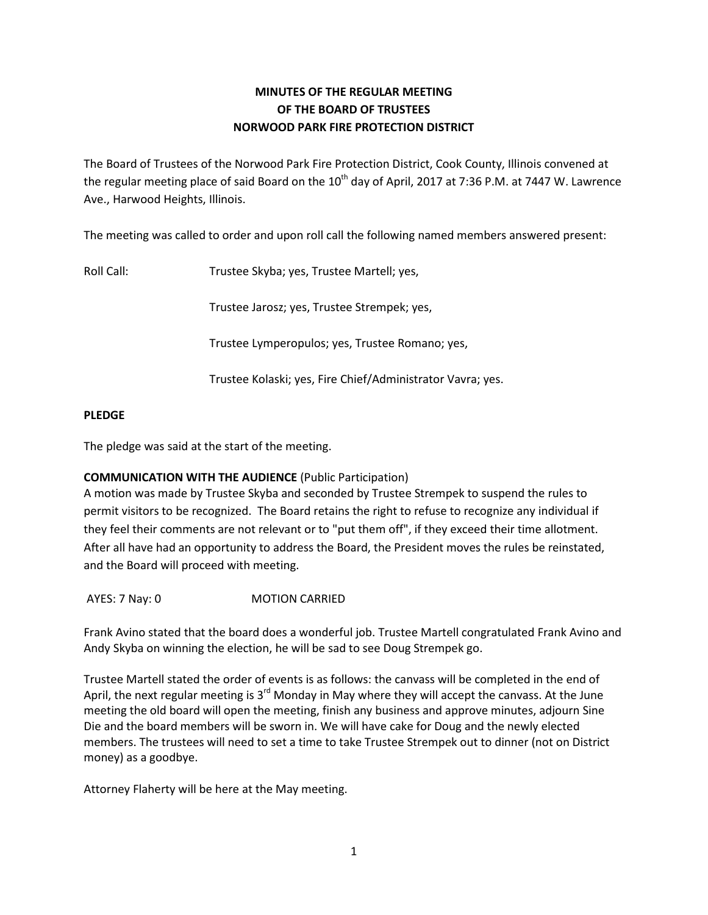# **MINUTES OF THE REGULAR MEETING OF THE BOARD OF TRUSTEES NORWOOD PARK FIRE PROTECTION DISTRICT**

The Board of Trustees of the Norwood Park Fire Protection District, Cook County, Illinois convened at the regular meeting place of said Board on the  $10^{\text{th}}$  day of April, 2017 at 7:36 P.M. at 7447 W. Lawrence Ave., Harwood Heights, Illinois.

The meeting was called to order and upon roll call the following named members answered present:

Roll Call: Trustee Skyba; yes, Trustee Martell; yes,

Trustee Jarosz; yes, Trustee Strempek; yes,

Trustee Lymperopulos; yes, Trustee Romano; yes,

Trustee Kolaski; yes, Fire Chief/Administrator Vavra; yes.

## **PLEDGE**

The pledge was said at the start of the meeting.

# **COMMUNICATION WITH THE AUDIENCE** (Public Participation)

A motion was made by Trustee Skyba and seconded by Trustee Strempek to suspend the rules to permit visitors to be recognized. The Board retains the right to refuse to recognize any individual if they feel their comments are not relevant or to "put them off", if they exceed their time allotment. After all have had an opportunity to address the Board, the President moves the rules be reinstated, and the Board will proceed with meeting.

AYES: 7 Nay: 0 MOTION CARRIED

Frank Avino stated that the board does a wonderful job. Trustee Martell congratulated Frank Avino and Andy Skyba on winning the election, he will be sad to see Doug Strempek go.

Trustee Martell stated the order of events is as follows: the canvass will be completed in the end of April, the next regular meeting is  $3<sup>rd</sup>$  Monday in May where they will accept the canvass. At the June meeting the old board will open the meeting, finish any business and approve minutes, adjourn Sine Die and the board members will be sworn in. We will have cake for Doug and the newly elected members. The trustees will need to set a time to take Trustee Strempek out to dinner (not on District money) as a goodbye.

Attorney Flaherty will be here at the May meeting.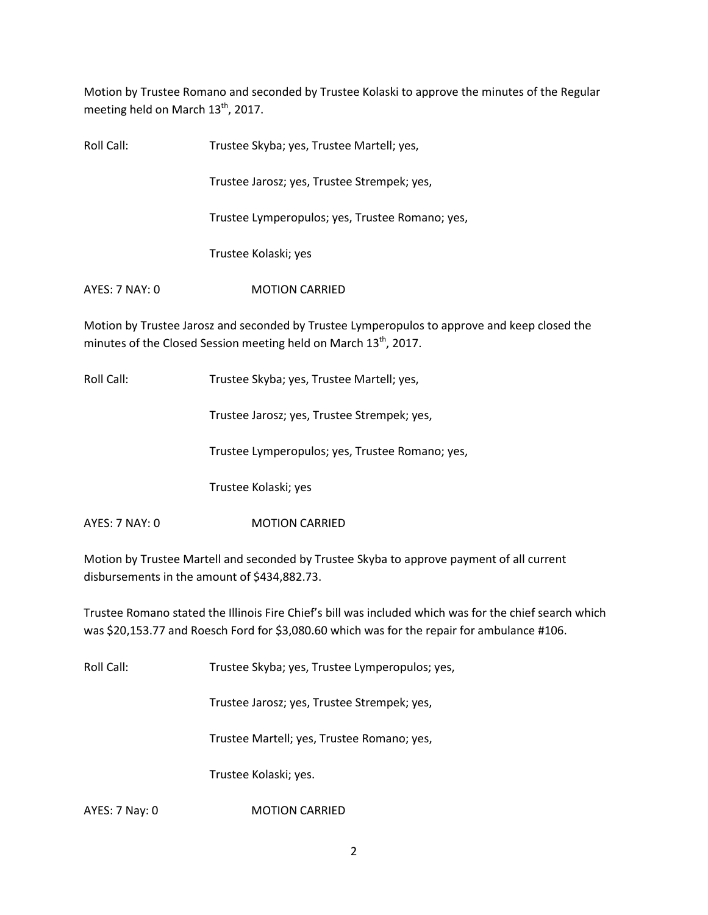Motion by Trustee Romano and seconded by Trustee Kolaski to approve the minutes of the Regular meeting held on March  $13<sup>th</sup>$ , 2017.

| Roll Call:     | Trustee Skyba; yes, Trustee Martell; yes,       |
|----------------|-------------------------------------------------|
|                | Trustee Jarosz; yes, Trustee Strempek; yes,     |
|                | Trustee Lymperopulos; yes, Trustee Romano; yes, |
|                | Trustee Kolaski; yes                            |
| AYES: 7 NAY: 0 | <b>MOTION CARRIED</b>                           |
|                |                                                 |

Motion by Trustee Jarosz and seconded by Trustee Lymperopulos to approve and keep closed the minutes of the Closed Session meeting held on March 13<sup>th</sup>, 2017.

Roll Call: Trustee Skyba; yes, Trustee Martell; yes,

Trustee Jarosz; yes, Trustee Strempek; yes,

Trustee Lymperopulos; yes, Trustee Romano; yes,

Trustee Kolaski; yes

AYES: 7 NAY: 0 MOTION CARRIED

Motion by Trustee Martell and seconded by Trustee Skyba to approve payment of all current disbursements in the amount of \$434,882.73.

Trustee Romano stated the Illinois Fire Chief's bill was included which was for the chief search which was \$20,153.77 and Roesch Ford for \$3,080.60 which was for the repair for ambulance #106.

Roll Call: Trustee Skyba; yes, Trustee Lymperopulos; yes,

Trustee Jarosz; yes, Trustee Strempek; yes,

Trustee Martell; yes, Trustee Romano; yes,

Trustee Kolaski; yes.

AYES: 7 Nay: 0 MOTION CARRIED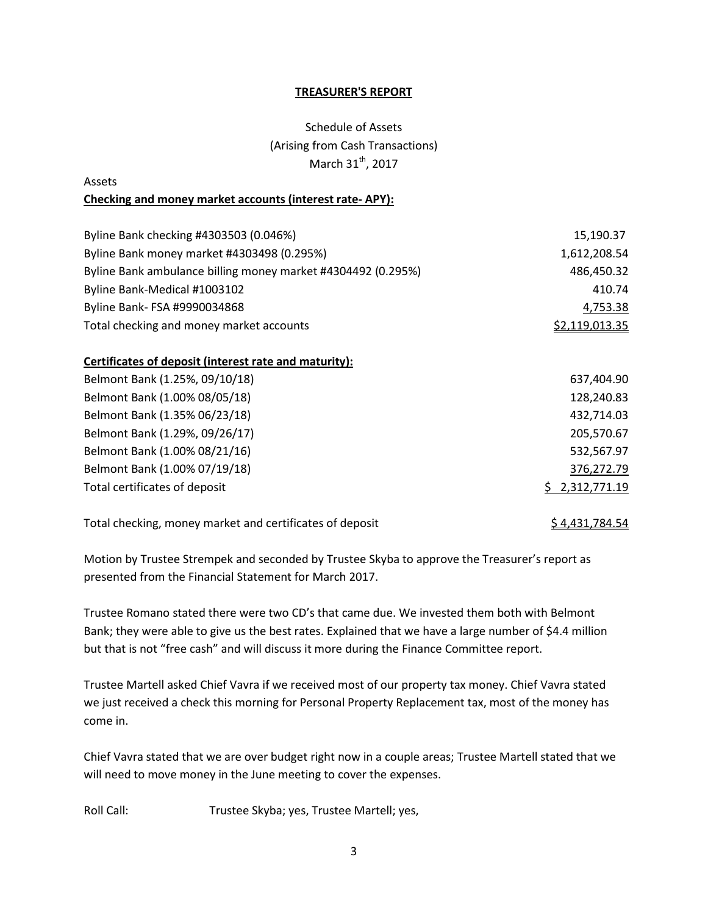#### **TREASURER'S REPORT**

# Schedule of Assets (Arising from Cash Transactions) March 31<sup>th</sup>, 2017

# Assets **Checking and money market accounts (interest rate- APY):**

| Byline Bank checking #4303503 (0.046%)                       | 15,190.37      |
|--------------------------------------------------------------|----------------|
| Byline Bank money market #4303498 (0.295%)                   | 1,612,208.54   |
| Byline Bank ambulance billing money market #4304492 (0.295%) | 486,450.32     |
| Byline Bank-Medical #1003102                                 | 410.74         |
| Byline Bank- FSA #9990034868                                 | 4,753.38       |
| Total checking and money market accounts                     | \$2,119,013.35 |

## **Certificates of deposit (interest rate and maturity):**

| Belmont Bank (1.25%, 09/10/18) | 637,404.90     |
|--------------------------------|----------------|
| Belmont Bank (1.00% 08/05/18)  | 128,240.83     |
| Belmont Bank (1.35% 06/23/18)  | 432,714.03     |
| Belmont Bank (1.29%, 09/26/17) | 205,570.67     |
| Belmont Bank (1.00% 08/21/16)  | 532,567.97     |
| Belmont Bank (1.00% 07/19/18)  | 376,272.79     |
| Total certificates of deposit  | \$2,312,771.19 |
|                                |                |

Total checking, money market and certificates of deposit  $$4,431,784.54$ 

Motion by Trustee Strempek and seconded by Trustee Skyba to approve the Treasurer's report as presented from the Financial Statement for March 2017.

Trustee Romano stated there were two CD's that came due. We invested them both with Belmont Bank; they were able to give us the best rates. Explained that we have a large number of \$4.4 million but that is not "free cash" and will discuss it more during the Finance Committee report.

Trustee Martell asked Chief Vavra if we received most of our property tax money. Chief Vavra stated we just received a check this morning for Personal Property Replacement tax, most of the money has come in.

Chief Vavra stated that we are over budget right now in a couple areas; Trustee Martell stated that we will need to move money in the June meeting to cover the expenses.

Roll Call: Trustee Skyba; yes, Trustee Martell; yes,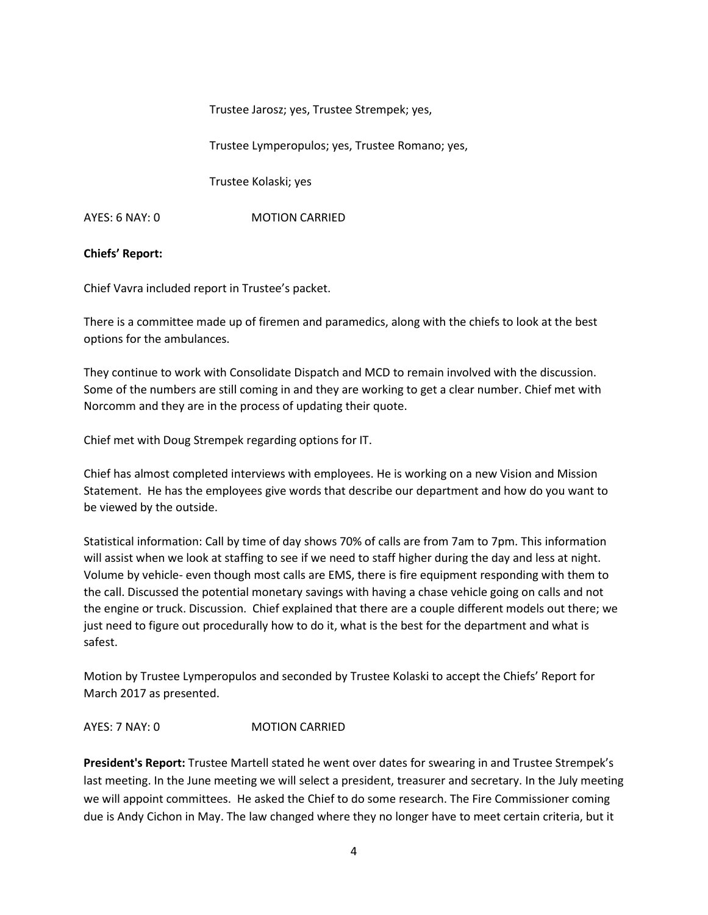Trustee Jarosz; yes, Trustee Strempek; yes,

Trustee Lymperopulos; yes, Trustee Romano; yes,

Trustee Kolaski; yes

AYES: 6 NAY: 0 MOTION CARRIED

### **Chiefs' Report:**

Chief Vavra included report in Trustee's packet.

There is a committee made up of firemen and paramedics, along with the chiefs to look at the best options for the ambulances.

They continue to work with Consolidate Dispatch and MCD to remain involved with the discussion. Some of the numbers are still coming in and they are working to get a clear number. Chief met with Norcomm and they are in the process of updating their quote.

Chief met with Doug Strempek regarding options for IT.

Chief has almost completed interviews with employees. He is working on a new Vision and Mission Statement. He has the employees give words that describe our department and how do you want to be viewed by the outside.

Statistical information: Call by time of day shows 70% of calls are from 7am to 7pm. This information will assist when we look at staffing to see if we need to staff higher during the day and less at night. Volume by vehicle- even though most calls are EMS, there is fire equipment responding with them to the call. Discussed the potential monetary savings with having a chase vehicle going on calls and not the engine or truck. Discussion. Chief explained that there are a couple different models out there; we just need to figure out procedurally how to do it, what is the best for the department and what is safest.

Motion by Trustee Lymperopulos and seconded by Trustee Kolaski to accept the Chiefs' Report for March 2017 as presented.

AYES: 7 NAY: 0 MOTION CARRIED

**President's Report:** Trustee Martell stated he went over dates for swearing in and Trustee Strempek's last meeting. In the June meeting we will select a president, treasurer and secretary. In the July meeting we will appoint committees. He asked the Chief to do some research. The Fire Commissioner coming due is Andy Cichon in May. The law changed where they no longer have to meet certain criteria, but it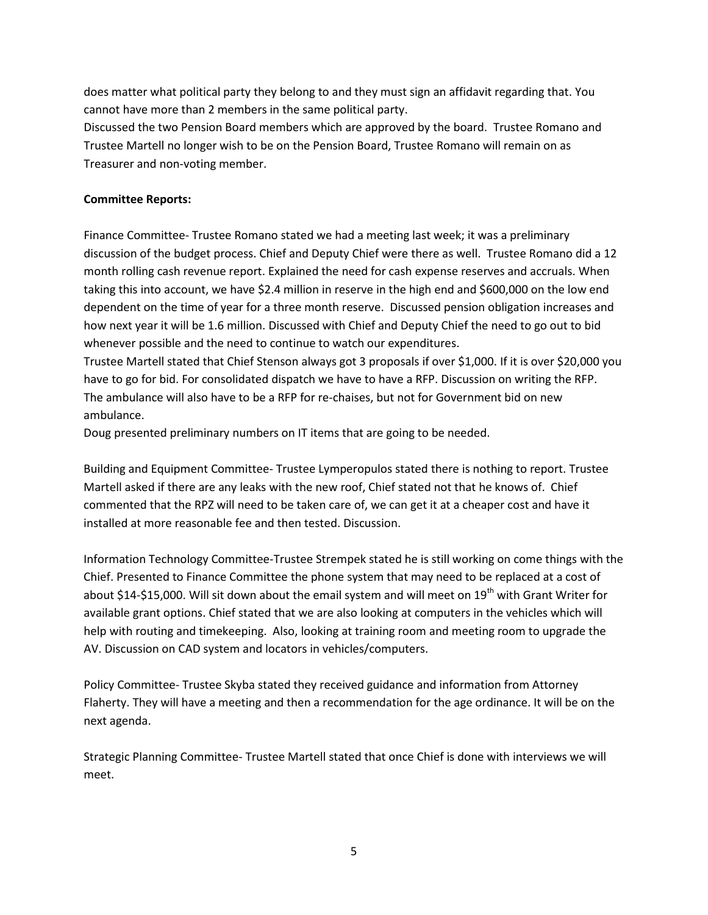does matter what political party they belong to and they must sign an affidavit regarding that. You cannot have more than 2 members in the same political party.

Discussed the two Pension Board members which are approved by the board. Trustee Romano and Trustee Martell no longer wish to be on the Pension Board, Trustee Romano will remain on as Treasurer and non-voting member.

### **Committee Reports:**

Finance Committee- Trustee Romano stated we had a meeting last week; it was a preliminary discussion of the budget process. Chief and Deputy Chief were there as well. Trustee Romano did a 12 month rolling cash revenue report. Explained the need for cash expense reserves and accruals. When taking this into account, we have \$2.4 million in reserve in the high end and \$600,000 on the low end dependent on the time of year for a three month reserve. Discussed pension obligation increases and how next year it will be 1.6 million. Discussed with Chief and Deputy Chief the need to go out to bid whenever possible and the need to continue to watch our expenditures.

Trustee Martell stated that Chief Stenson always got 3 proposals if over \$1,000. If it is over \$20,000 you have to go for bid. For consolidated dispatch we have to have a RFP. Discussion on writing the RFP. The ambulance will also have to be a RFP for re-chaises, but not for Government bid on new ambulance.

Doug presented preliminary numbers on IT items that are going to be needed.

Building and Equipment Committee- Trustee Lymperopulos stated there is nothing to report. Trustee Martell asked if there are any leaks with the new roof, Chief stated not that he knows of. Chief commented that the RPZ will need to be taken care of, we can get it at a cheaper cost and have it installed at more reasonable fee and then tested. Discussion.

Information Technology Committee-Trustee Strempek stated he is still working on come things with the Chief. Presented to Finance Committee the phone system that may need to be replaced at a cost of about \$14-\$15,000. Will sit down about the email system and will meet on 19<sup>th</sup> with Grant Writer for available grant options. Chief stated that we are also looking at computers in the vehicles which will help with routing and timekeeping. Also, looking at training room and meeting room to upgrade the AV. Discussion on CAD system and locators in vehicles/computers.

Policy Committee- Trustee Skyba stated they received guidance and information from Attorney Flaherty. They will have a meeting and then a recommendation for the age ordinance. It will be on the next agenda.

Strategic Planning Committee- Trustee Martell stated that once Chief is done with interviews we will meet.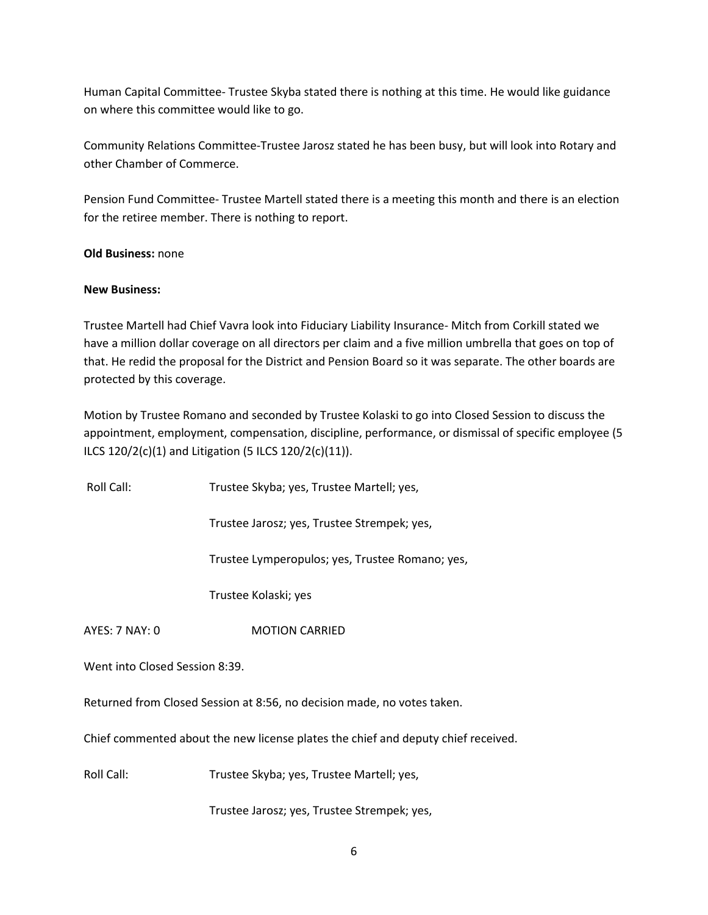Human Capital Committee- Trustee Skyba stated there is nothing at this time. He would like guidance on where this committee would like to go.

Community Relations Committee-Trustee Jarosz stated he has been busy, but will look into Rotary and other Chamber of Commerce.

Pension Fund Committee- Trustee Martell stated there is a meeting this month and there is an election for the retiree member. There is nothing to report.

**Old Business:** none

#### **New Business:**

Trustee Martell had Chief Vavra look into Fiduciary Liability Insurance- Mitch from Corkill stated we have a million dollar coverage on all directors per claim and a five million umbrella that goes on top of that. He redid the proposal for the District and Pension Board so it was separate. The other boards are protected by this coverage.

Motion by Trustee Romano and seconded by Trustee Kolaski to go into Closed Session to discuss the appointment, employment, compensation, discipline, performance, or dismissal of specific employee (5 ILCS 120/2(c)(1) and Litigation (5 ILCS 120/2(c)(11)).

Roll Call: Trustee Skyba; yes, Trustee Martell; yes,

Trustee Jarosz; yes, Trustee Strempek; yes,

Trustee Lymperopulos; yes, Trustee Romano; yes,

Trustee Kolaski; yes

AYES: 7 NAY: 0 **MOTION CARRIED** 

Went into Closed Session 8:39.

Returned from Closed Session at 8:56, no decision made, no votes taken.

Chief commented about the new license plates the chief and deputy chief received.

Roll Call: Trustee Skyba; yes, Trustee Martell; yes,

Trustee Jarosz; yes, Trustee Strempek; yes,